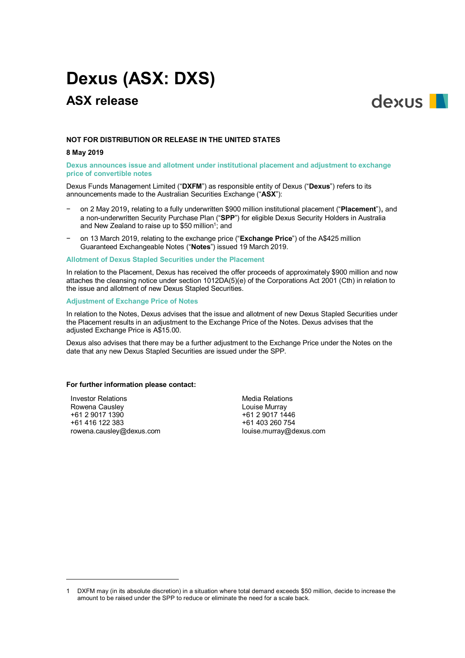# **Dexus (ASX: DXS)**

# **ASX release**



# **NOT FOR DISTRIBUTION OR RELEASE IN THE UNITED STATES**

# **8 May 2019**

# **Dexus announces issue and allotment under institutional placement and adjustment to exchange price of convertible notes**

Dexus Funds Management Limited ("**DXFM**") as responsible entity of Dexus ("**Dexus**") refers to its announcements made to the Australian Securities Exchange ("**ASX**"):

- − on 2 May 2019, relating to a fully underwritten \$900 million institutional placement ("**Placement**"), and a non-underwritten Security Purchase Plan ("**SPP**") for eligible Dexus Security Holders in Australia and New Zealand to raise up to \$50 million<sup>1</sup>; and
- − on 13 March 2019, relating to the exchange price ("**Exchange Price**") of the A\$425 million Guaranteed Exchangeable Notes ("**Notes**") issued 19 March 2019.

#### **Allotment of Dexus Stapled Securities under the Placement**

In relation to the Placement, Dexus has received the offer proceeds of approximately \$900 million and now attaches the cleansing notice under section 1012DA(5)(e) of the Corporations Act 2001 (Cth) in relation to the issue and allotment of new Dexus Stapled Securities.

# **Adjustment of Exchange Price of Notes**

In relation to the Notes, Dexus advises that the issue and allotment of new Dexus Stapled Securities under the Placement results in an adjustment to the Exchange Price of the Notes. Dexus advises that the adjusted Exchange Price is A\$15.00.

Dexus also advises that there may be a further adjustment to the Exchange Price under the Notes on the date that any new Dexus Stapled Securities are issued under the SPP.

#### **For further information please contact:**

Investor Relations Rowena Causley +61 2 9017 1390 +61 416 122 383 rowena.causley@dexus.com

1

Media Relations Louise Murray +61 2 9017 1446 +61 403 260 754 louise.murray@dexus.com

<sup>1</sup> DXFM may (in its absolute discretion) in a situation where total demand exceeds \$50 million, decide to increase the amount to be raised under the SPP to reduce or eliminate the need for a scale back.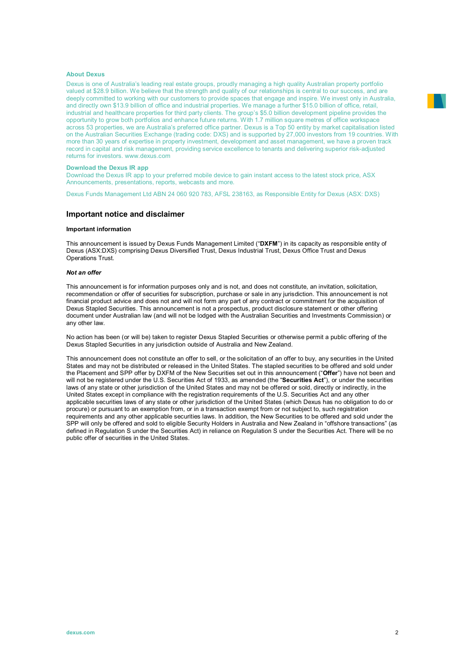# **About Dexus**

Dexus is one of Australia's leading real estate groups, proudly managing a high quality Australian property portfolio valued at \$28.9 billion. We believe that the strength and quality of our relationships is central to our success, and are deeply committed to working with our customers to provide spaces that engage and inspire. We invest only in Australia, and directly own \$13.9 billion of office and industrial properties. We manage a further \$15.0 billion of office, retail, industrial and healthcare properties for third party clients. The group's \$5.0 billion development pipeline provides the opportunity to grow both portfolios and enhance future returns. With 1.7 million square metres of office workspace across 53 properties, we are Australia's preferred office partner. Dexus is a Top 50 entity by market capitalisation listed on the Australian Securities Exchange (trading code: DXS) and is supported by 27,000 investors from 19 countries. With more than 30 years of expertise in property investment, development and asset management, we have a proven track record in capital and risk management, providing service excellence to tenants and delivering superior risk-adjusted returns for investors. www.dexus.com

#### **Download the Dexus IR app**

Download the Dexus IR app to your preferred mobile device to gain instant access to the latest stock price, ASX Announcements, presentations, reports, webcasts and more.

Dexus Funds Management Ltd ABN 24 060 920 783, AFSL 238163, as Responsible Entity for Dexus (ASX: DXS)

#### **Important notice and disclaimer**

#### **Important information**

This announcement is issued by Dexus Funds Management Limited ("**DXFM**") in its capacity as responsible entity of Dexus (ASX:DXS) comprising Dexus Diversified Trust, Dexus Industrial Trust, Dexus Office Trust and Dexus Operations Trust.

#### *Not an offer*

This announcement is for information purposes only and is not, and does not constitute, an invitation, solicitation, recommendation or offer of securities for subscription, purchase or sale in any jurisdiction. This announcement is not financial product advice and does not and will not form any part of any contract or commitment for the acquisition of Dexus Stapled Securities. This announcement is not a prospectus, product disclosure statement or other offering document under Australian law (and will not be lodged with the Australian Securities and Investments Commission) or any other law.

No action has been (or will be) taken to register Dexus Stapled Securities or otherwise permit a public offering of the Dexus Stapled Securities in any jurisdiction outside of Australia and New Zealand.

This announcement does not constitute an offer to sell, or the solicitation of an offer to buy, any securities in the United States and may not be distributed or released in the United States. The stapled securities to be offered and sold under the Placement and SPP offer by DXFM of the New Securities set out in this announcement ("**Offer**") have not been and will not be registered under the U.S. Securities Act of 1933, as amended (the "**Securities Act**"), or under the securities laws of any state or other jurisdiction of the United States and may not be offered or sold, directly or indirectly, in the United States except in compliance with the registration requirements of the U.S. Securities Act and any other applicable securities laws of any state or other jurisdiction of the United States (which Dexus has no obligation to do or procure) or pursuant to an exemption from, or in a transaction exempt from or not subject to, such registration requirements and any other applicable securities laws. In addition, the New Securities to be offered and sold under the SPP will only be offered and sold to eligible Security Holders in Australia and New Zealand in "offshore transactions" (as defined in Regulation S under the Securities Act) in reliance on Regulation S under the Securities Act. There will be no public offer of securities in the United States.